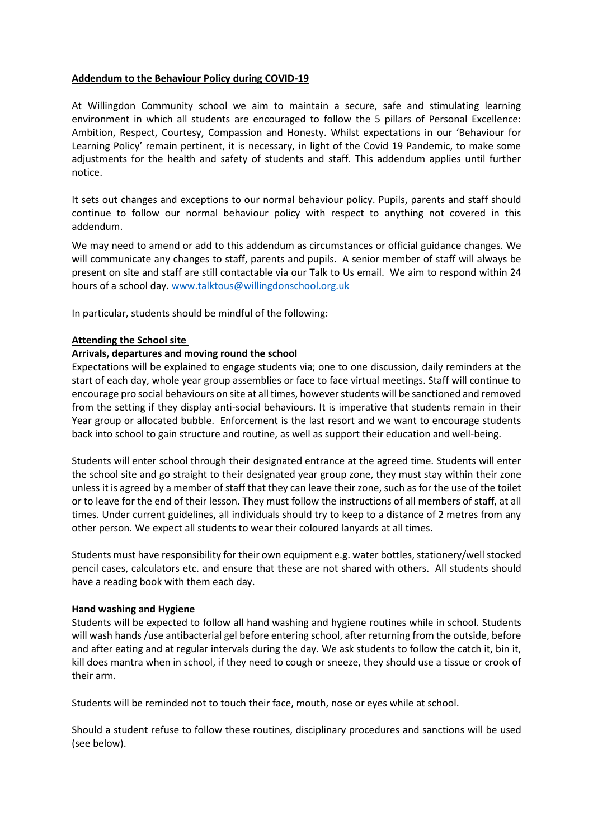# **Addendum to the Behaviour Policy during COVID-19**

At Willingdon Community school we aim to maintain a secure, safe and stimulating learning environment in which all students are encouraged to follow the 5 pillars of Personal Excellence: Ambition, Respect, Courtesy, Compassion and Honesty. Whilst expectations in our 'Behaviour for Learning Policy' remain pertinent, it is necessary, in light of the Covid 19 Pandemic, to make some adjustments for the health and safety of students and staff. This addendum applies until further notice.

It sets out changes and exceptions to our normal behaviour policy. Pupils, parents and staff should continue to follow our normal behaviour policy with respect to anything not covered in this addendum.

We may need to amend or add to this addendum as circumstances or official guidance changes. We will communicate any changes to staff, parents and pupils. A senior member of staff will always be present on site and staff are still contactable via our Talk to Us email. We aim to respond within 24 hours of a school day. [www.talktous@willingdonschool.org.uk](http://www.talktous@willingdonschool.org.uk)

In particular, students should be mindful of the following:

# **Attending the School site**

# **Arrivals, departures and moving round the school**

Expectations will be explained to engage students via; one to one discussion, daily reminders at the start of each day, whole year group assemblies or face to face virtual meetings. Staff will continue to encourage pro social behaviours on site at all times, however students will be sanctioned and removed from the setting if they display anti-social behaviours. It is imperative that students remain in their Year group or allocated bubble. Enforcement is the last resort and we want to encourage students back into school to gain structure and routine, as well as support their education and well-being.

Students will enter school through their designated entrance at the agreed time. Students will enter the school site and go straight to their designated year group zone, they must stay within their zone unless it is agreed by a member of staff that they can leave their zone, such as for the use of the toilet or to leave for the end of their lesson. They must follow the instructions of all members of staff, at all times. Under current guidelines, all individuals should try to keep to a distance of 2 metres from any other person. We expect all students to wear their coloured lanyards at all times.

Students must have responsibility for their own equipment e.g. water bottles, stationery/well stocked pencil cases, calculators etc. and ensure that these are not shared with others. All students should have a reading book with them each day.

# **Hand washing and Hygiene**

Students will be expected to follow all hand washing and hygiene routines while in school. Students will wash hands /use antibacterial gel before entering school, after returning from the outside, before and after eating and at regular intervals during the day. We ask students to follow the catch it, bin it, kill does mantra when in school, if they need to cough or sneeze, they should use a tissue or crook of their arm.

Students will be reminded not to touch their face, mouth, nose or eyes while at school.

Should a student refuse to follow these routines, disciplinary procedures and sanctions will be used (see below).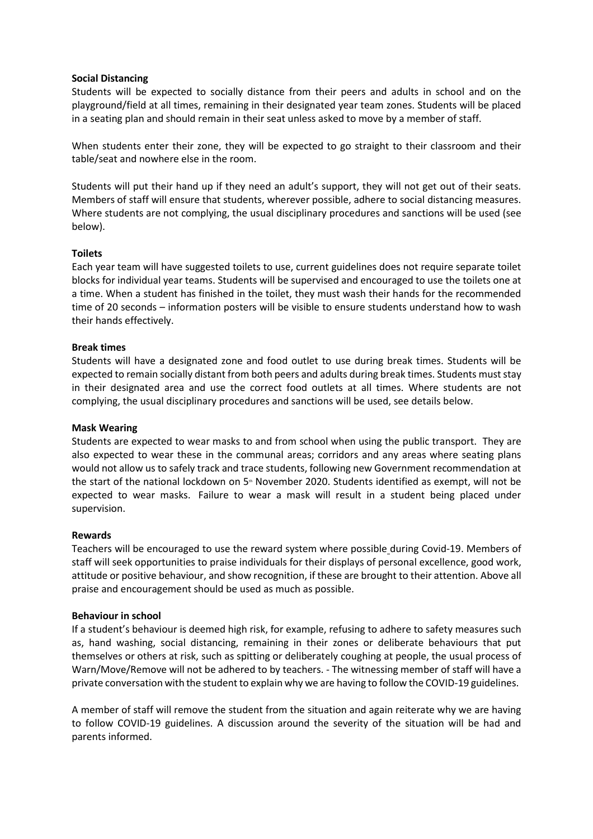### **Social Distancing**

Students will be expected to socially distance from their peers and adults in school and on the playground/field at all times, remaining in their designated year team zones. Students will be placed in a seating plan and should remain in their seat unless asked to move by a member of staff.

When students enter their zone, they will be expected to go straight to their classroom and their table/seat and nowhere else in the room.

Students will put their hand up if they need an adult's support, they will not get out of their seats. Members of staff will ensure that students, wherever possible, adhere to social distancing measures. Where students are not complying, the usual disciplinary procedures and sanctions will be used (see below).

### **Toilets**

Each year team will have suggested toilets to use, current guidelines does not require separate toilet blocks for individual year teams. Students will be supervised and encouraged to use the toilets one at a time. When a student has finished in the toilet, they must wash their hands for the recommended time of 20 seconds – information posters will be visible to ensure students understand how to wash their hands effectively.

### **Break times**

Students will have a designated zone and food outlet to use during break times. Students will be expected to remain socially distant from both peers and adults during break times. Students must stay in their designated area and use the correct food outlets at all times. Where students are not complying, the usual disciplinary procedures and sanctions will be used, see details below.

#### **Mask Wearing**

Students are expected to wear masks to and from school when using the public transport. They are also expected to wear these in the communal areas; corridors and any areas where seating plans would not allow us to safely track and trace students, following new Government recommendation at the start of the national lockdown on 5<sup>\*</sup> November 2020. Students identified as exempt, will not be expected to wear masks. Failure to wear a mask will result in a student being placed under supervision.

#### **Rewards**

Teachers will be encouraged to use the reward system where possible during Covid-19. Members of staff will seek opportunities to praise individuals for their displays of personal excellence, good work, attitude or positive behaviour, and show recognition, if these are brought to their attention. Above all praise and encouragement should be used as much as possible.

#### **Behaviour in school**

If a student's behaviour is deemed high risk, for example, refusing to adhere to safety measures such as, hand washing, social distancing, remaining in their zones or deliberate behaviours that put themselves or others at risk, such as spitting or deliberately coughing at people, the usual process of Warn/Move/Remove will not be adhered to by teachers. - The witnessing member of staff will have a private conversation with the student to explain why we are having to follow the COVID-19 guidelines.

A member of staff will remove the student from the situation and again reiterate why we are having to follow COVID-19 guidelines. A discussion around the severity of the situation will be had and parents informed.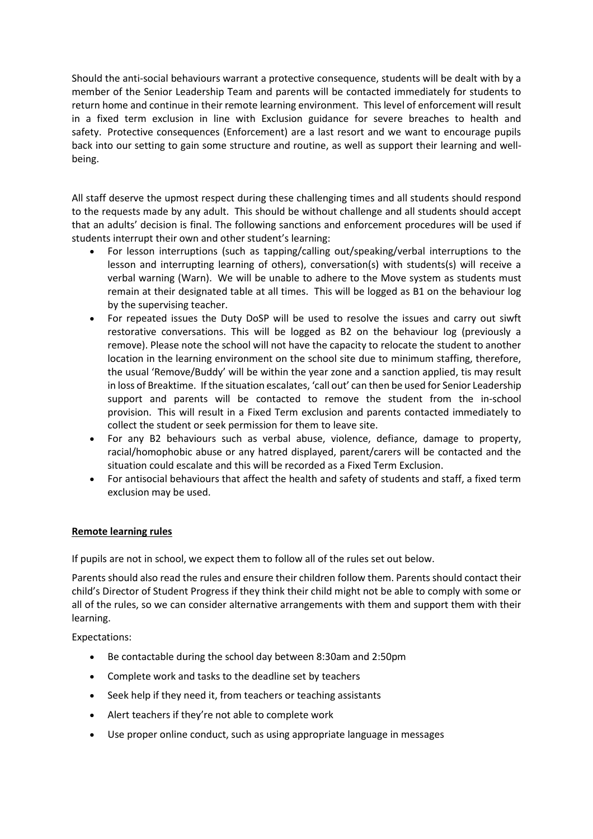Should the anti-social behaviours warrant a protective consequence, students will be dealt with by a member of the Senior Leadership Team and parents will be contacted immediately for students to return home and continue in their remote learning environment. This level of enforcement will result in a fixed term exclusion in line with Exclusion guidance for severe breaches to health and safety. Protective consequences (Enforcement) are a last resort and we want to encourage pupils back into our setting to gain some structure and routine, as well as support their learning and wellbeing.

All staff deserve the upmost respect during these challenging times and all students should respond to the requests made by any adult. This should be without challenge and all students should accept that an adults' decision is final. The following sanctions and enforcement procedures will be used if students interrupt their own and other student's learning:

- For lesson interruptions (such as tapping/calling out/speaking/verbal interruptions to the lesson and interrupting learning of others), conversation(s) with students(s) will receive a verbal warning (Warn). We will be unable to adhere to the Move system as students must remain at their designated table at all times. This will be logged as B1 on the behaviour log by the supervising teacher.
- For repeated issues the Duty DoSP will be used to resolve the issues and carry out siwft restorative conversations. This will be logged as B2 on the behaviour log (previously a remove). Please note the school will not have the capacity to relocate the student to another location in the learning environment on the school site due to minimum staffing, therefore, the usual 'Remove/Buddy' will be within the year zone and a sanction applied, tis may result in loss of Breaktime. If the situation escalates, 'call out' can then be used for Senior Leadership support and parents will be contacted to remove the student from the in-school provision. This will result in a Fixed Term exclusion and parents contacted immediately to collect the student or seek permission for them to leave site.
- For any B2 behaviours such as verbal abuse, violence, defiance, damage to property, racial/homophobic abuse or any hatred displayed, parent/carers will be contacted and the situation could escalate and this will be recorded as a Fixed Term Exclusion.
- For antisocial behaviours that affect the health and safety of students and staff, a fixed term exclusion may be used.

# **Remote learning rules**

If pupils are not in school, we expect them to follow all of the rules set out below.

Parents should also read the rules and ensure their children follow them. Parents should contact their child's Director of Student Progress if they think their child might not be able to comply with some or all of the rules, so we can consider alternative arrangements with them and support them with their learning.

Expectations:

- Be contactable during the school day between 8:30am and 2:50pm
- Complete work and tasks to the deadline set by teachers
- Seek help if they need it, from teachers or teaching assistants
- Alert teachers if they're not able to complete work
- Use proper online conduct, such as using appropriate language in messages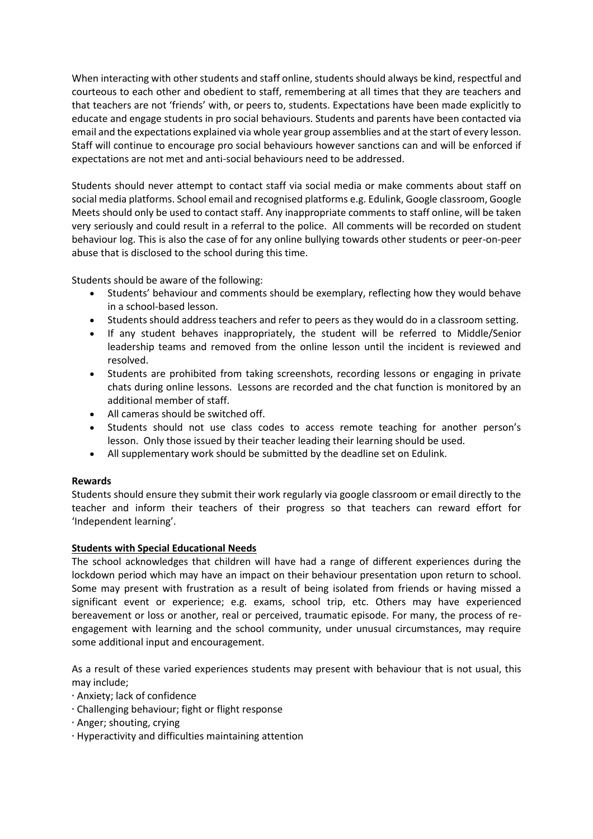When interacting with other students and staff online, students should always be kind, respectful and courteous to each other and obedient to staff, remembering at all times that they are teachers and that teachers are not 'friends' with, or peers to, students. Expectations have been made explicitly to educate and engage students in pro social behaviours. Students and parents have been contacted via email and the expectations explained via whole year group assemblies and at the start of every lesson. Staff will continue to encourage pro social behaviours however sanctions can and will be enforced if expectations are not met and anti-social behaviours need to be addressed.

Students should never attempt to contact staff via social media or make comments about staff on social media platforms. School email and recognised platforms e.g. Edulink, Google classroom, Google Meets should only be used to contact staff. Any inappropriate comments to staff online, will be taken very seriously and could result in a referral to the police. All comments will be recorded on student behaviour log. This is also the case of for any online bullying towards other students or peer-on-peer abuse that is disclosed to the school during this time.

Students should be aware of the following:

- Students' behaviour and comments should be exemplary, reflecting how they would behave in a school-based lesson.
- Students should address teachers and refer to peers as they would do in a classroom setting.
- If any student behaves inappropriately, the student will be referred to Middle/Senior leadership teams and removed from the online lesson until the incident is reviewed and resolved.
- Students are prohibited from taking screenshots, recording lessons or engaging in private chats during online lessons. Lessons are recorded and the chat function is monitored by an additional member of staff.
- All cameras should be switched off.
- Students should not use class codes to access remote teaching for another person's lesson. Only those issued by their teacher leading their learning should be used.
- All supplementary work should be submitted by the deadline set on Edulink.

# **Rewards**

Students should ensure they submit their work regularly via google classroom or email directly to the teacher and inform their teachers of their progress so that teachers can reward effort for 'Independent learning'.

# **Students with Special Educational Needs**

The school acknowledges that children will have had a range of different experiences during the lockdown period which may have an impact on their behaviour presentation upon return to school. Some may present with frustration as a result of being isolated from friends or having missed a significant event or experience; e.g. exams, school trip, etc. Others may have experienced bereavement or loss or another, real or perceived, traumatic episode. For many, the process of reengagement with learning and the school community, under unusual circumstances, may require some additional input and encouragement.

As a result of these varied experiences students may present with behaviour that is not usual, this may include;

- ∙ Anxiety; lack of confidence
- ∙ Challenging behaviour; fight or flight response
- ∙ Anger; shouting, crying
- ∙ Hyperactivity and difficulties maintaining attention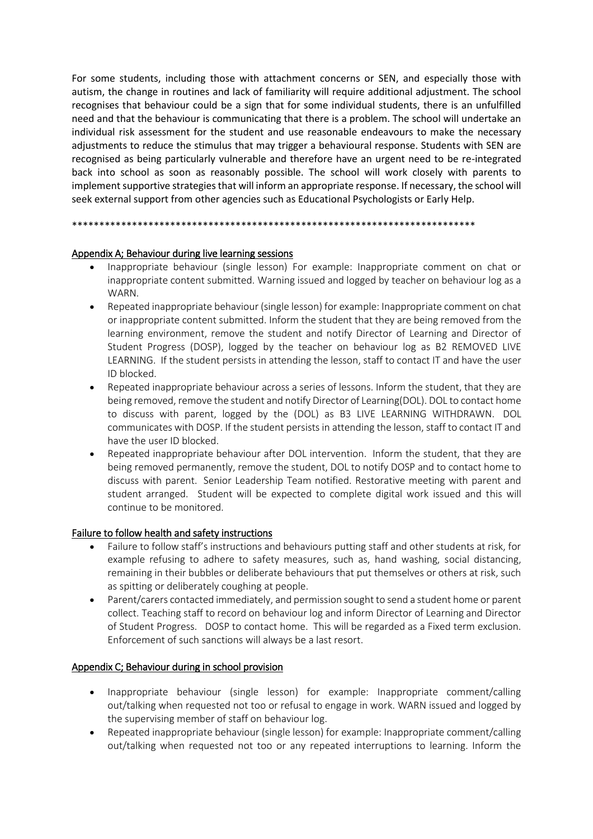For some students, including those with attachment concerns or SEN, and especially those with autism, the change in routines and lack of familiarity will require additional adjustment. The school recognises that behaviour could be a sign that for some individual students, there is an unfulfilled need and that the behaviour is communicating that there is a problem. The school will undertake an individual risk assessment for the student and use reasonable endeavours to make the necessary adjustments to reduce the stimulus that may trigger a behavioural response. Students with SEN are recognised as being particularly vulnerable and therefore have an urgent need to be re-integrated back into school as soon as reasonably possible. The school will work closely with parents to implement supportive strategies that will inform an appropriate response. If necessary, the school will seek external support from other agencies such as Educational Psychologists or Early Help.

\*\*\*\*\*\*\*\*\*\*\*\*\*\*\*\*\*\*\*\*\*\*\*\*\*\*\*\*\*\*\*\*\*\*\*\*\*\*\*\*\*\*\*\*\*\*\*\*\*\*\*\*\*\*\*\*\*\*\*\*\*\*\*\*\*\*\*\*\*\*\*\*\*\*

# Appendix A; Behaviour during live learning sessions

- Inappropriate behaviour (single lesson) For example: Inappropriate comment on chat or inappropriate content submitted. Warning issued and logged by teacher on behaviour log as a WARN.
- Repeated inappropriate behaviour (single lesson) for example: Inappropriate comment on chat or inappropriate content submitted. Inform the student that they are being removed from the learning environment, remove the student and notify Director of Learning and Director of Student Progress (DOSP), logged by the teacher on behaviour log as B2 REMOVED LIVE LEARNING. If the student persists in attending the lesson, staff to contact IT and have the user ID blocked.
- Repeated inappropriate behaviour across a series of lessons. Inform the student, that they are being removed, remove the student and notify Director of Learning(DOL). DOL to contact home to discuss with parent, logged by the (DOL) as B3 LIVE LEARNING WITHDRAWN. DOL communicates with DOSP. If the student persists in attending the lesson, staff to contact IT and have the user ID blocked.
- Repeated inappropriate behaviour after DOL intervention. Inform the student, that they are being removed permanently, remove the student, DOL to notify DOSP and to contact home to discuss with parent. Senior Leadership Team notified. Restorative meeting with parent and student arranged. Student will be expected to complete digital work issued and this will continue to be monitored.

# Failure to follow health and safety instructions

- Failure to follow staff's instructions and behaviours putting staff and other students at risk, for example refusing to adhere to safety measures, such as, hand washing, social distancing, remaining in their bubbles or deliberate behaviours that put themselves or others at risk, such as spitting or deliberately coughing at people.
- Parent/carers contacted immediately, and permission sought to send a student home or parent collect. Teaching staff to record on behaviour log and inform Director of Learning and Director of Student Progress. DOSP to contact home. This will be regarded as a Fixed term exclusion. Enforcement of such sanctions will always be a last resort.

# Appendix C; Behaviour during in school provision

- Inappropriate behaviour (single lesson) for example: Inappropriate comment/calling out/talking when requested not too or refusal to engage in work. WARN issued and logged by the supervising member of staff on behaviour log.
- Repeated inappropriate behaviour (single lesson) for example: Inappropriate comment/calling out/talking when requested not too or any repeated interruptions to learning. Inform the